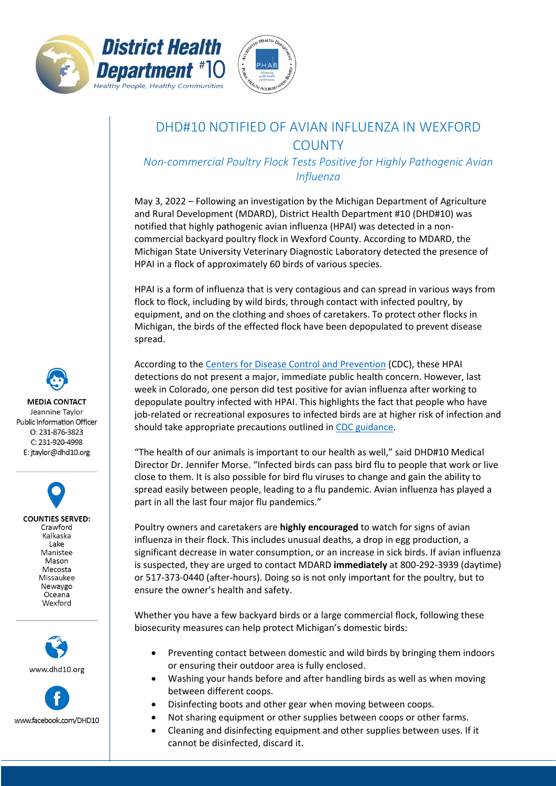



## DHD#10 NOTIFIED OF AVIAN INFLUENZA IN WEXFORD **COUNTY**

*Non-commercial Poultry Flock Tests Positive for Highly Pathogenic Avian Influenza*

May 3, 2022 – Following an investigation by the Michigan Department of Agriculture and Rural Development (MDARD), District Health Department #10 (DHD#10) was notified that highly pathogenic avian influenza (HPAI) was detected in a noncommercial backyard poultry flock in Wexford County. According to MDARD, the Michigan State University Veterinary Diagnostic Laboratory detected the presence of HPAI in a flock of approximately 60 birds of various species.

HPAI is a form of influenza that is very contagious and can spread in various ways from flock to flock, including by wild birds, through contact with infected poultry, by equipment, and on the clothing and shoes of caretakers. To protect other flocks in Michigan, the birds of the effected flock have been depopulated to prevent disease spread.

According to the [Centers for Disease Control and Prevention](https://www.cdc.gov/flu/avianflu/avian-flu-summary.htm) (CDC), these HPAI detections do not present a major, immediate public health concern. However, last week in Colorado, one person did test positive for avian influenza after working to depopulate poultry infected with HPAI. This highlights the fact that people who have job-related or recreational exposures to infected birds are at higher risk of infection and should take appropriate precautions outlined in [CDC guidance.](https://www.cdc.gov/flu/avianflu/prevention.htm)

"The health of our animals is important to our health as well," said DHD#10 Medical Director Dr. Jennifer Morse. "Infected birds can pass bird flu to people that work or live close to them. It is also possible for bird flu viruses to change and gain the ability to spread easily between people, leading to a flu pandemic. Avian influenza has played a part in all the last four major flu pandemics."

Poultry owners and caretakers are **highly encouraged** to watch for signs of avian influenza in their flock. This includes unusual deaths, a drop in egg production, a significant decrease in water consumption, or an increase in sick birds. If avian influenza is suspected, they are urged to contact MDARD **immediately** at 800-292-3939 (daytime) or 517-373-0440 (after-hours). Doing so is not only important for the poultry, but to ensure the owner's health and safety.

Whether you have a few backyard birds or a large commercial flock, following these biosecurity measures can help protect Michigan's domestic birds:

- Preventing contact between domestic and wild birds by bringing them indoors or ensuring their outdoor area is fully enclosed.
- Washing your hands before and after handling birds as well as when moving between different coops.
- Disinfecting boots and other gear when moving between coops.
- Not sharing equipment or other supplies between coops or other farms.
- Cleaning and disinfecting equipment and other supplies between uses. If it cannot be disinfected, discard it.

**MEDIA CONTACT** Jeannine Taylor Public Information Officer  $O: 231 - 876 - 3823$ C: 231-920-4998 E: jtaylor@dhd10.org

> **COUNTIES SERVED:** Crawford Kalkaska Lake Manistee Mason Mecosta Missaukee Newaygo Oceana Wexford